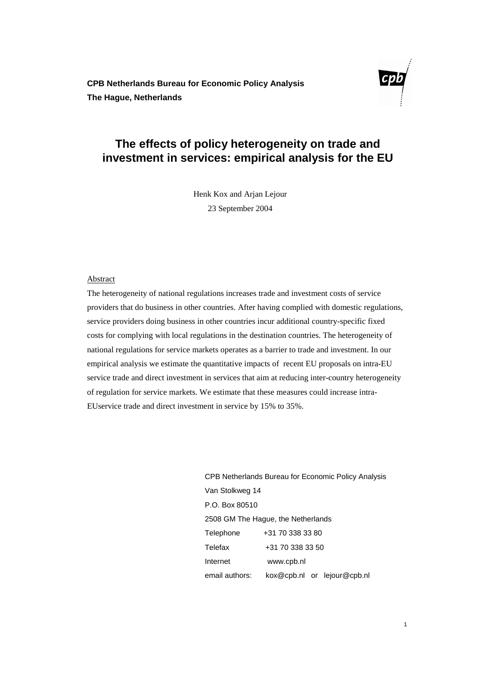**CPB Netherlands Bureau for Economic Policy Analysis The Hague, Netherlands** 



# **The effects of policy heterogeneity on trade and investment in services: empirical analysis for the EU**

Henk Kox and Arjan Lejour 23 September 2004

#### Abstract

The heterogeneity of national regulations increases trade and investment costs of service providers that do business in other countries. After having complied with domestic regulations, service providers doing business in other countries incur additional country-specific fixed costs for complying with local regulations in the destination countries. The heterogeneity of national regulations for service markets operates as a barrier to trade and investment. In our empirical analysis we estimate the quantitative impacts of recent EU proposals on intra-EU service trade and direct investment in services that aim at reducing inter-country heterogeneity of regulation for service markets. We estimate that these measures could increase intra-EUservice trade and direct investment in service by 15% to 35%.

> CPB Netherlands Bureau for Economic Policy Analysis Van Stolkweg 14 P.O. Box 80510 2508 GM The Hague, the Netherlands Telephone +31 70 338 33 80 Telefax +31 70 338 33 50 Internet www.cpb.nl email authors: kox@cpb.nl or lejour@cpb.nl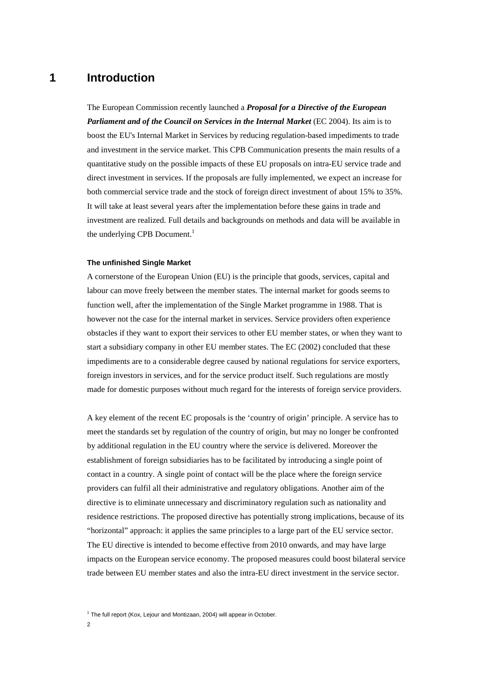## **1 Introduction**

The European Commission recently launched a *Proposal for a Directive of the European Parliament and of the Council on Services in the Internal Market (EC 2004). Its aim is to* boost the EU's Internal Market in Services by reducing regulation-based impediments to trade and investment in the service market. This CPB Communication presents the main results of a quantitative study on the possible impacts of these EU proposals on intra-EU service trade and direct investment in services. If the proposals are fully implemented, we expect an increase for both commercial service trade and the stock of foreign direct investment of about 15% to 35%. It will take at least several years after the implementation before these gains in trade and investment are realized. Full details and backgrounds on methods and data will be available in the underlying CPB Document.<sup>1</sup>

#### **The unfinished Single Market**

A cornerstone of the European Union (EU) is the principle that goods, services, capital and labour can move freely between the member states. The internal market for goods seems to function well, after the implementation of the Single Market programme in 1988. That is however not the case for the internal market in services. Service providers often experience obstacles if they want to export their services to other EU member states, or when they want to start a subsidiary company in other EU member states. The EC (2002) concluded that these impediments are to a considerable degree caused by national regulations for service exporters, foreign investors in services, and for the service product itself. Such regulations are mostly made for domestic purposes without much regard for the interests of foreign service providers.

A key element of the recent EC proposals is the 'country of origin' principle. A service has to meet the standards set by regulation of the country of origin, but may no longer be confronted by additional regulation in the EU country where the service is delivered. Moreover the establishment of foreign subsidiaries has to be facilitated by introducing a single point of contact in a country. A single point of contact will be the place where the foreign service providers can fulfil all their administrative and regulatory obligations. Another aim of the directive is to eliminate unnecessary and discriminatory regulation such as nationality and residence restrictions. The proposed directive has potentially strong implications, because of its "horizontal" approach: it applies the same principles to a large part of the EU service sector. The EU directive is intended to become effective from 2010 onwards, and may have large impacts on the European service economy. The proposed measures could boost bilateral service trade between EU member states and also the intra-EU direct investment in the service sector.

<sup>1</sup> The full report (Kox, Lejour and Montizaan, 2004) will appear in October.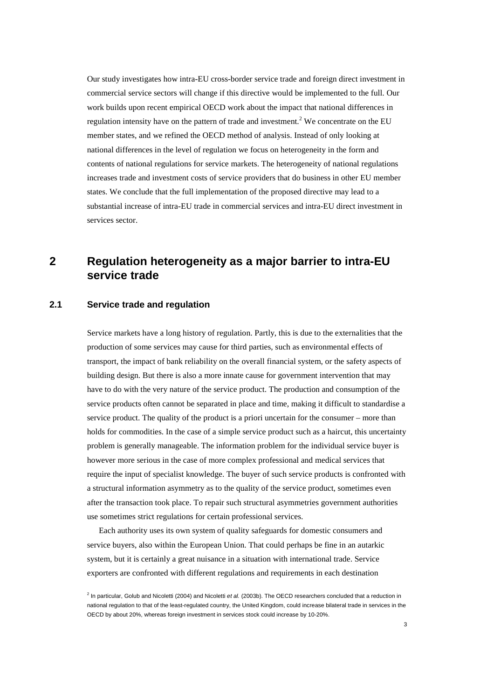Our study investigates how intra-EU cross-border service trade and foreign direct investment in commercial service sectors will change if this directive would be implemented to the full. Our work builds upon recent empirical OECD work about the impact that national differences in regulation intensity have on the pattern of trade and investment.<sup>2</sup> We concentrate on the EU member states, and we refined the OECD method of analysis. Instead of only looking at national differences in the level of regulation we focus on heterogeneity in the form and contents of national regulations for service markets. The heterogeneity of national regulations increases trade and investment costs of service providers that do business in other EU member states. We conclude that the full implementation of the proposed directive may lead to a substantial increase of intra-EU trade in commercial services and intra-EU direct investment in services sector.

## **2 Regulation heterogeneity as a major barrier to intra-EU service trade**

## **2.1 Service trade and regulation**

Service markets have a long history of regulation. Partly, this is due to the externalities that the production of some services may cause for third parties, such as environmental effects of transport, the impact of bank reliability on the overall financial system, or the safety aspects of building design. But there is also a more innate cause for government intervention that may have to do with the very nature of the service product. The production and consumption of the service products often cannot be separated in place and time, making it difficult to standardise a service product. The quality of the product is a priori uncertain for the consumer – more than holds for commodities. In the case of a simple service product such as a haircut, this uncertainty problem is generally manageable. The information problem for the individual service buyer is however more serious in the case of more complex professional and medical services that require the input of specialist knowledge. The buyer of such service products is confronted with a structural information asymmetry as to the quality of the service product, sometimes even after the transaction took place. To repair such structural asymmetries government authorities use sometimes strict regulations for certain professional services.

Each authority uses its own system of quality safeguards for domestic consumers and service buyers, also within the European Union. That could perhaps be fine in an autarkic system, but it is certainly a great nuisance in a situation with international trade. Service exporters are confronted with different regulations and requirements in each destination

<sup>&</sup>lt;sup>2</sup> In particular, Golub and Nicoletti (2004) and Nicoletti et al. (2003b). The OECD researchers concluded that a reduction in national regulation to that of the least-regulated country, the United Kingdom, could increase bilateral trade in services in the OECD by about 20%, whereas foreign investment in services stock could increase by 10-20%.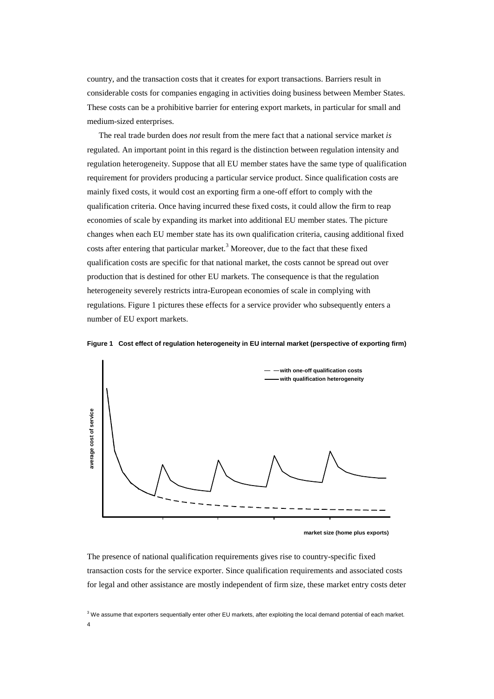country, and the transaction costs that it creates for export transactions. Barriers result in considerable costs for companies engaging in activities doing business between Member States. These costs can be a prohibitive barrier for entering export markets, in particular for small and medium-sized enterprises.

The real trade burden does *not* result from the mere fact that a national service market *is* regulated. An important point in this regard is the distinction between regulation intensity and regulation heterogeneity. Suppose that all EU member states have the same type of qualification requirement for providers producing a particular service product. Since qualification costs are mainly fixed costs, it would cost an exporting firm a one-off effort to comply with the qualification criteria. Once having incurred these fixed costs, it could allow the firm to reap economies of scale by expanding its market into additional EU member states. The picture changes when each EU member state has its own qualification criteria, causing additional fixed costs after entering that particular market.<sup>3</sup> Moreover, due to the fact that these fixed qualification costs are specific for that national market, the costs cannot be spread out over production that is destined for other EU markets. The consequence is that the regulation heterogeneity severely restricts intra-European economies of scale in complying with regulations. Figure 1 pictures these effects for a service provider who subsequently enters a number of EU export markets.



**Figure 1 Cost effect of regulation heterogeneity in EU internal market (perspective of exporting firm)** 

**market size (home plus exports)**

The presence of national qualification requirements gives rise to country-specific fixed transaction costs for the service exporter. Since qualification requirements and associated costs for legal and other assistance are mostly independent of firm size, these market entry costs deter

4  $3$  We assume that exporters sequentially enter other EU markets, after exploiting the local demand potential of each market.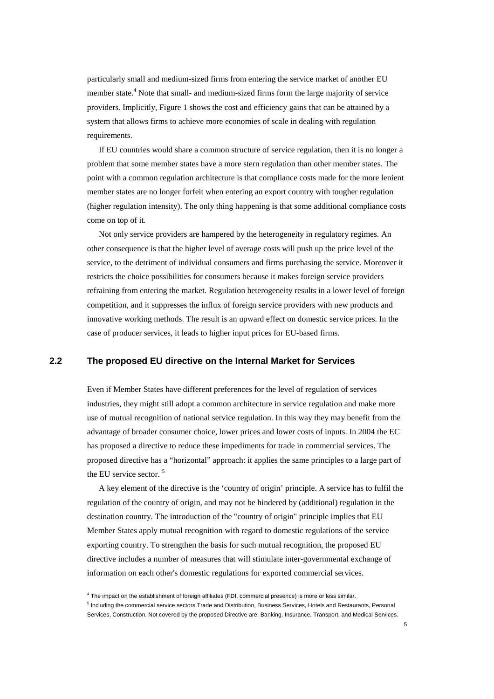particularly small and medium-sized firms from entering the service market of another EU member state.<sup>4</sup> Note that small- and medium-sized firms form the large majority of service providers. Implicitly, Figure 1 shows the cost and efficiency gains that can be attained by a system that allows firms to achieve more economies of scale in dealing with regulation requirements.

If EU countries would share a common structure of service regulation, then it is no longer a problem that some member states have a more stern regulation than other member states. The point with a common regulation architecture is that compliance costs made for the more lenient member states are no longer forfeit when entering an export country with tougher regulation (higher regulation intensity). The only thing happening is that some additional compliance costs come on top of it.

Not only service providers are hampered by the heterogeneity in regulatory regimes. An other consequence is that the higher level of average costs will push up the price level of the service, to the detriment of individual consumers and firms purchasing the service. Moreover it restricts the choice possibilities for consumers because it makes foreign service providers refraining from entering the market. Regulation heterogeneity results in a lower level of foreign competition, and it suppresses the influx of foreign service providers with new products and innovative working methods. The result is an upward effect on domestic service prices. In the case of producer services, it leads to higher input prices for EU-based firms.

#### **2.2 The proposed EU directive on the Internal Market for Services**

Even if Member States have different preferences for the level of regulation of services industries, they might still adopt a common architecture in service regulation and make more use of mutual recognition of national service regulation. In this way they may benefit from the advantage of broader consumer choice, lower prices and lower costs of inputs. In 2004 the EC has proposed a directive to reduce these impediments for trade in commercial services. The proposed directive has a "horizontal" approach: it applies the same principles to a large part of the EU service sector. <sup>5</sup>

A key element of the directive is the 'country of origin' principle. A service has to fulfil the regulation of the country of origin, and may not be hindered by (additional) regulation in the destination country. The introduction of the "country of origin" principle implies that EU Member States apply mutual recognition with regard to domestic regulations of the service exporting country. To strengthen the basis for such mutual recognition, the proposed EU directive includes a number of measures that will stimulate inter-governmental exchange of information on each other's domestic regulations for exported commercial services.

<sup>&</sup>lt;sup>4</sup> The impact on the establishment of foreign affiliates (FDI, commercial presence) is more or less similar.

<sup>&</sup>lt;sup>5</sup> Including the commercial service sectors Trade and Distribution, Business Services, Hotels and Restaurants, Personal Services, Construction. Not covered by the proposed Directive are: Banking, Insurance, Transport, and Medical Services.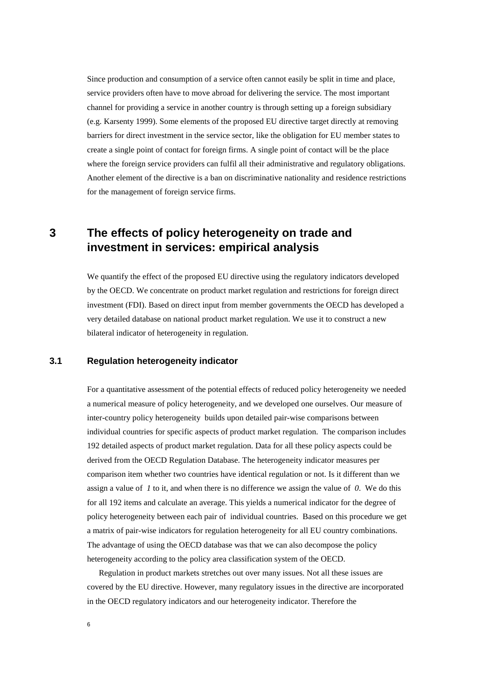Since production and consumption of a service often cannot easily be split in time and place, service providers often have to move abroad for delivering the service. The most important channel for providing a service in another country is through setting up a foreign subsidiary (e.g. Karsenty 1999). Some elements of the proposed EU directive target directly at removing barriers for direct investment in the service sector, like the obligation for EU member states to create a single point of contact for foreign firms. A single point of contact will be the place where the foreign service providers can fulfil all their administrative and regulatory obligations. Another element of the directive is a ban on discriminative nationality and residence restrictions for the management of foreign service firms.

## **3 The effects of policy heterogeneity on trade and investment in services: empirical analysis**

We quantify the effect of the proposed EU directive using the regulatory indicators developed by the OECD. We concentrate on product market regulation and restrictions for foreign direct investment (FDI). Based on direct input from member governments the OECD has developed a very detailed database on national product market regulation. We use it to construct a new bilateral indicator of heterogeneity in regulation.

#### **3.1 Regulation heterogeneity indicator**

For a quantitative assessment of the potential effects of reduced policy heterogeneity we needed a numerical measure of policy heterogeneity, and we developed one ourselves. Our measure of inter-country policy heterogeneity builds upon detailed pair-wise comparisons between individual countries for specific aspects of product market regulation. The comparison includes 192 detailed aspects of product market regulation. Data for all these policy aspects could be derived from the OECD Regulation Database. The heterogeneity indicator measures per comparison item whether two countries have identical regulation or not. Is it different than we assign a value of *1* to it, and when there is no difference we assign the value of *0*. We do this for all 192 items and calculate an average. This yields a numerical indicator for the degree of policy heterogeneity between each pair of individual countries. Based on this procedure we get a matrix of pair-wise indicators for regulation heterogeneity for all EU country combinations. The advantage of using the OECD database was that we can also decompose the policy heterogeneity according to the policy area classification system of the OECD.

Regulation in product markets stretches out over many issues. Not all these issues are covered by the EU directive. However, many regulatory issues in the directive are incorporated in the OECD regulatory indicators and our heterogeneity indicator. Therefore the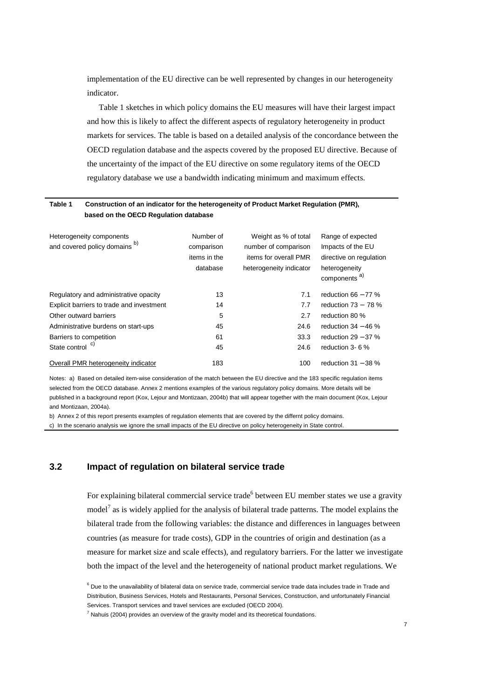implementation of the EU directive can be well represented by changes in our heterogeneity indicator.

Table 1 sketches in which policy domains the EU measures will have their largest impact and how this is likely to affect the different aspects of regulatory heterogeneity in product markets for services. The table is based on a detailed analysis of the concordance between the OECD regulation database and the aspects covered by the proposed EU directive. Because of the uncertainty of the impact of the EU directive on some regulatory items of the OECD regulatory database we use a bandwidth indicating minimum and maximum effects.

#### **Table 1 Construction of an indicator for the heterogeneity of Product Market Regulation (PMR), based on the OECD Regulation database**

| Heterogeneity components<br>and covered policy domains b) | Number of<br>comparison<br>items in the<br>database | Weight as % of total<br>number of comparison<br>items for overall PMR<br>heterogeneity indicator | Range of expected<br>Impacts of the EU<br>directive on regulation<br>heterogeneity<br>components <sup>a)</sup> |
|-----------------------------------------------------------|-----------------------------------------------------|--------------------------------------------------------------------------------------------------|----------------------------------------------------------------------------------------------------------------|
| Regulatory and administrative opacity                     | 13                                                  | 7.1                                                                                              | reduction $66 - 77$ %                                                                                          |
| Explicit barriers to trade and investment                 | 14                                                  | 7.7                                                                                              | reduction $73 - 78$ %                                                                                          |
| Other outward barriers                                    | 5                                                   | 2.7                                                                                              | reduction 80 %                                                                                                 |
| Administrative burdens on start-ups                       | 45                                                  | 24.6                                                                                             | reduction $34 - 46$ %                                                                                          |
| Barriers to competition                                   | 61                                                  | 33.3                                                                                             | reduction $29 - 37$ %                                                                                          |
| State control <sup>c)</sup>                               | 45                                                  | 24.6                                                                                             | reduction 3-6 %                                                                                                |
| Overall PMR heterogeneity indicator                       | 183                                                 | 100                                                                                              | reduction $31 - 38$ %                                                                                          |

Notes: a) Based on detailed item-wise consideration of the match between the EU directive and the 183 specific regulation items selected from the OECD database. Annex 2 mentions examples of the various regulatory policy domains. More details will be published in a background report (Kox, Lejour and Montizaan, 2004b) that will appear together with the main document (Kox, Lejour and Montizaan, 2004a).

b) Annex 2 of this report presents examples of regulation elements that are covered by the differnt policy domains.

c) In the scenario analysis we ignore the small impacts of the EU directive on policy heterogeneity in State control.

#### **3.2 Impact of regulation on bilateral service trade**

For explaining bilateral commercial service trade<sup>6</sup> between EU member states we use a gravity model<sup>7</sup> as is widely applied for the analysis of bilateral trade patterns. The model explains the bilateral trade from the following variables: the distance and differences in languages between countries (as measure for trade costs), GDP in the countries of origin and destination (as a measure for market size and scale effects), and regulatory barriers. For the latter we investigate both the impact of the level and the heterogeneity of national product market regulations. We

 $<sup>7</sup>$  Nahuis (2004) provides an overview of the gravity model and its theoretical foundations.</sup>

<sup>&</sup>lt;sup>6</sup> Due to the unavailability of bilateral data on service trade, commercial service trade data includes trade in Trade and Distribution, Business Services, Hotels and Restaurants, Personal Services, Construction, and unfortunately Financial Services. Transport services and travel services are excluded (OECD 2004).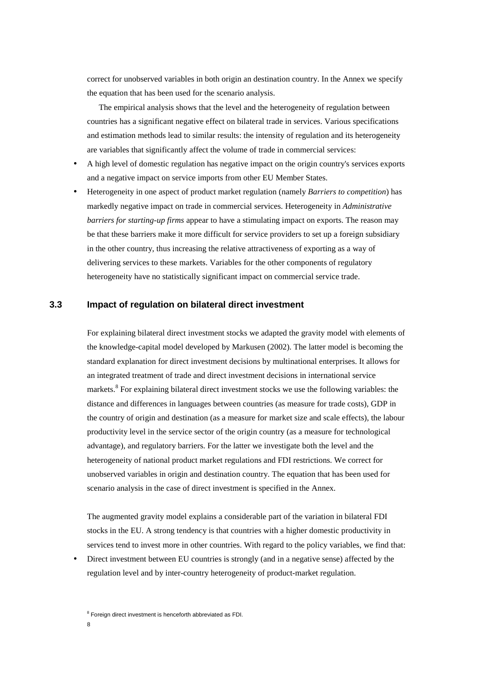correct for unobserved variables in both origin an destination country. In the Annex we specify the equation that has been used for the scenario analysis.

The empirical analysis shows that the level and the heterogeneity of regulation between countries has a significant negative effect on bilateral trade in services. Various specifications and estimation methods lead to similar results: the intensity of regulation and its heterogeneity are variables that significantly affect the volume of trade in commercial services:

- A high level of domestic regulation has negative impact on the origin country's services exports and a negative impact on service imports from other EU Member States.
- Heterogeneity in one aspect of product market regulation (namely *Barriers to competition*) has markedly negative impact on trade in commercial services. Heterogeneity in *Administrative barriers for starting-up firms* appear to have a stimulating impact on exports. The reason may be that these barriers make it more difficult for service providers to set up a foreign subsidiary in the other country, thus increasing the relative attractiveness of exporting as a way of delivering services to these markets. Variables for the other components of regulatory heterogeneity have no statistically significant impact on commercial service trade.

### **3.3 Impact of regulation on bilateral direct investment**

For explaining bilateral direct investment stocks we adapted the gravity model with elements of the knowledge-capital model developed by Markusen (2002). The latter model is becoming the standard explanation for direct investment decisions by multinational enterprises. It allows for an integrated treatment of trade and direct investment decisions in international service markets.<sup>8</sup> For explaining bilateral direct investment stocks we use the following variables: the distance and differences in languages between countries (as measure for trade costs), GDP in the country of origin and destination (as a measure for market size and scale effects), the labour productivity level in the service sector of the origin country (as a measure for technological advantage), and regulatory barriers. For the latter we investigate both the level and the heterogeneity of national product market regulations and FDI restrictions. We correct for unobserved variables in origin and destination country. The equation that has been used for scenario analysis in the case of direct investment is specified in the Annex.

The augmented gravity model explains a considerable part of the variation in bilateral FDI stocks in the EU. A strong tendency is that countries with a higher domestic productivity in services tend to invest more in other countries. With regard to the policy variables, we find that:

• Direct investment between EU countries is strongly (and in a negative sense) affected by the regulation level and by inter-country heterogeneity of product-market regulation.

<sup>&</sup>lt;sup>8</sup> Foreign direct investment is henceforth abbreviated as FDI.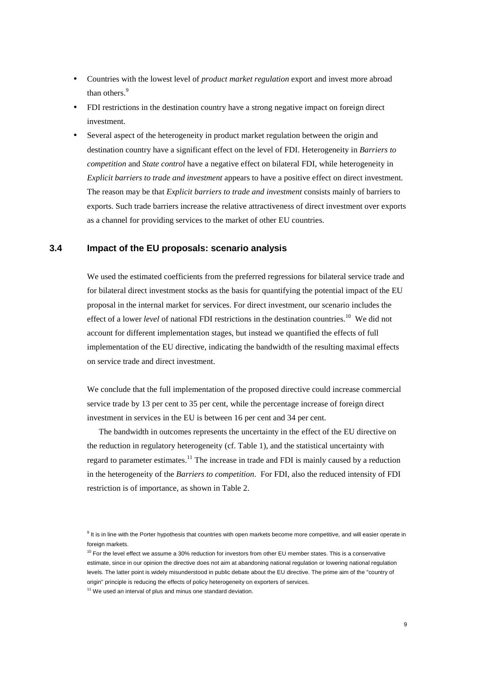- Countries with the lowest level of *product market regulation* export and invest more abroad than others.<sup>9</sup>
- FDI restrictions in the destination country have a strong negative impact on foreign direct investment.
- Several aspect of the heterogeneity in product market regulation between the origin and destination country have a significant effect on the level of FDI. Heterogeneity in *Barriers to competition* and *State control* have a negative effect on bilateral FDI, while heterogeneity in *Explicit barriers to trade and investment* appears to have a positive effect on direct investment. The reason may be that *Explicit barriers to trade and investment* consists mainly of barriers to exports. Such trade barriers increase the relative attractiveness of direct investment over exports as a channel for providing services to the market of other EU countries.

#### **3.4 Impact of the EU proposals: scenario analysis**

We used the estimated coefficients from the preferred regressions for bilateral service trade and for bilateral direct investment stocks as the basis for quantifying the potential impact of the EU proposal in the internal market for services. For direct investment, our scenario includes the effect of a lower *level* of national FDI restrictions in the destination countries.<sup>10</sup> We did not account for different implementation stages, but instead we quantified the effects of full implementation of the EU directive, indicating the bandwidth of the resulting maximal effects on service trade and direct investment.

We conclude that the full implementation of the proposed directive could increase commercial service trade by 13 per cent to 35 per cent, while the percentage increase of foreign direct investment in services in the EU is between 16 per cent and 34 per cent.

The bandwidth in outcomes represents the uncertainty in the effect of the EU directive on the reduction in regulatory heterogeneity (cf. Table 1), and the statistical uncertainty with regard to parameter estimates.<sup>11</sup> The increase in trade and FDI is mainly caused by a reduction in the heterogeneity of the *Barriers to competition*. For FDI, also the reduced intensity of FDI restriction is of importance, as shown in Table 2.

<sup>&</sup>lt;sup>9</sup> It is in line with the Porter hypothesis that countries with open markets become more competitive, and will easier operate in foreign markets.

 $10$  For the level effect we assume a 30% reduction for investors from other EU member states. This is a conservative estimate, since in our opinion the directive does not aim at abandoning national regulation or lowering national regulation levels. The latter point is widely misunderstood in public debate about the EU directive. The prime aim of the "country of origin" principle is reducing the effects of policy heterogeneity on exporters of services.

 $11$  We used an interval of plus and minus one standard deviation.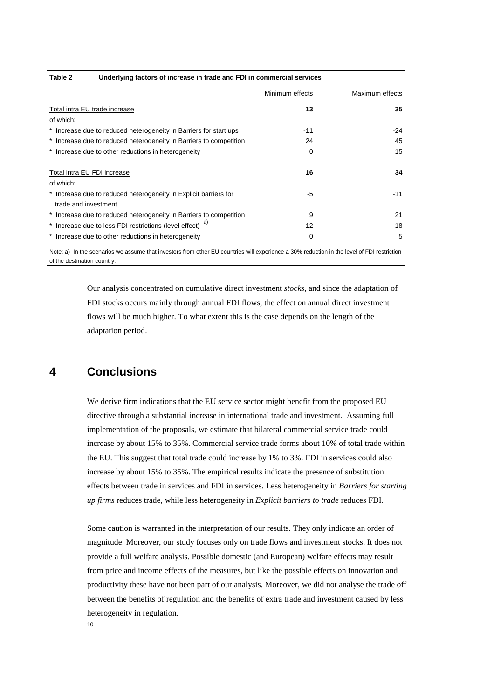| Underlying factors of increase in trade and FDI in commercial services<br>Table 2 |  |
|-----------------------------------------------------------------------------------|--|
|-----------------------------------------------------------------------------------|--|

|                                                                    | Minimum effects | Maximum effects |
|--------------------------------------------------------------------|-----------------|-----------------|
| Total intra EU trade increase                                      | 13              | 35              |
| of which:                                                          |                 |                 |
| * Increase due to reduced heterogeneity in Barriers for start ups  | $-11$           | -24             |
| * Increase due to reduced heterogeneity in Barriers to competition | 24              | 45              |
| * Increase due to other reductions in heterogeneity                | 0               | 15              |
| Total intra EU FDI increase                                        | 16              | 34              |
| of which:                                                          |                 |                 |
| * Increase due to reduced heterogeneity in Explicit barriers for   | -5              | $-11$           |
| trade and investment                                               |                 |                 |
| * Increase due to reduced heterogeneity in Barriers to competition | 9               | 21              |
| * Increase due to less FDI restrictions (level effect)             | 12              | 18              |
| * Increase due to other reductions in heterogeneity                | 0               | 5               |

Note: a) In the scenarios we assume that investors from other EU countries will experience a 30% reduction in the level of FDI restriction of the destination country.

> Our analysis concentrated on cumulative direct investment *stocks*, and since the adaptation of FDI stocks occurs mainly through annual FDI flows, the effect on annual direct investment flows will be much higher. To what extent this is the case depends on the length of the adaptation period.

## **4 Conclusions**

We derive firm indications that the EU service sector might benefit from the proposed EU directive through a substantial increase in international trade and investment. Assuming full implementation of the proposals, we estimate that bilateral commercial service trade could increase by about 15% to 35%. Commercial service trade forms about 10% of total trade within the EU. This suggest that total trade could increase by 1% to 3%. FDI in services could also increase by about 15% to 35%. The empirical results indicate the presence of substitution effects between trade in services and FDI in services. Less heterogeneity in *Barriers for starting up firms* reduces trade, while less heterogeneity in *Explicit barriers to trade* reduces FDI.

Some caution is warranted in the interpretation of our results. They only indicate an order of magnitude. Moreover, our study focuses only on trade flows and investment stocks. It does not provide a full welfare analysis. Possible domestic (and European) welfare effects may result from price and income effects of the measures, but like the possible effects on innovation and productivity these have not been part of our analysis. Moreover, we did not analyse the trade off between the benefits of regulation and the benefits of extra trade and investment caused by less heterogeneity in regulation.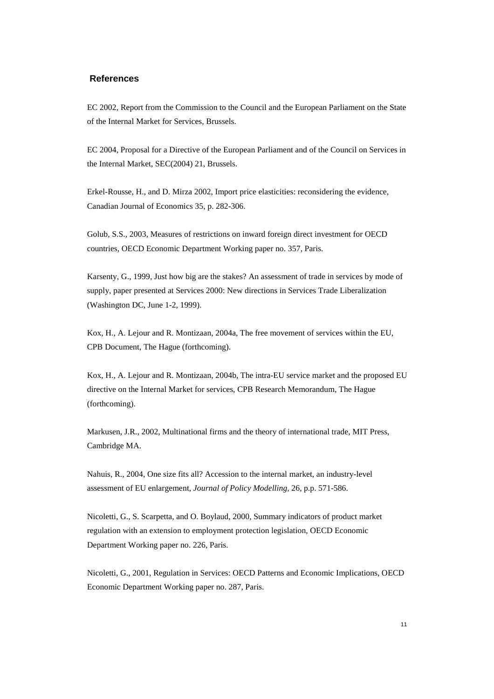#### **References**

EC 2002, Report from the Commission to the Council and the European Parliament on the State of the Internal Market for Services, Brussels.

EC 2004, Proposal for a Directive of the European Parliament and of the Council on Services in the Internal Market, SEC(2004) 21, Brussels.

Erkel-Rousse, H., and D. Mirza 2002, Import price elasticities: reconsidering the evidence, Canadian Journal of Economics 35, p. 282-306.

Golub, S.S., 2003, Measures of restrictions on inward foreign direct investment for OECD countries, OECD Economic Department Working paper no. 357, Paris.

Karsenty, G., 1999, Just how big are the stakes? An assessment of trade in services by mode of supply, paper presented at Services 2000: New directions in Services Trade Liberalization (Washington DC, June 1-2, 1999).

Kox, H., A. Lejour and R. Montizaan, 2004a, The free movement of services within the EU, CPB Document, The Hague (forthcoming).

Kox, H., A. Lejour and R. Montizaan, 2004b, The intra-EU service market and the proposed EU directive on the Internal Market for services, CPB Research Memorandum, The Hague (forthcoming).

Markusen, J.R., 2002, Multinational firms and the theory of international trade, MIT Press, Cambridge MA.

Nahuis, R., 2004, One size fits all? Accession to the internal market, an industry-level assessment of EU enlargement, *Journal of Policy Modelling*, 26, p.p. 571-586.

Nicoletti, G., S. Scarpetta, and O. Boylaud, 2000, Summary indicators of product market regulation with an extension to employment protection legislation, OECD Economic Department Working paper no. 226, Paris.

Nicoletti, G., 2001, Regulation in Services: OECD Patterns and Economic Implications, OECD Economic Department Working paper no. 287, Paris.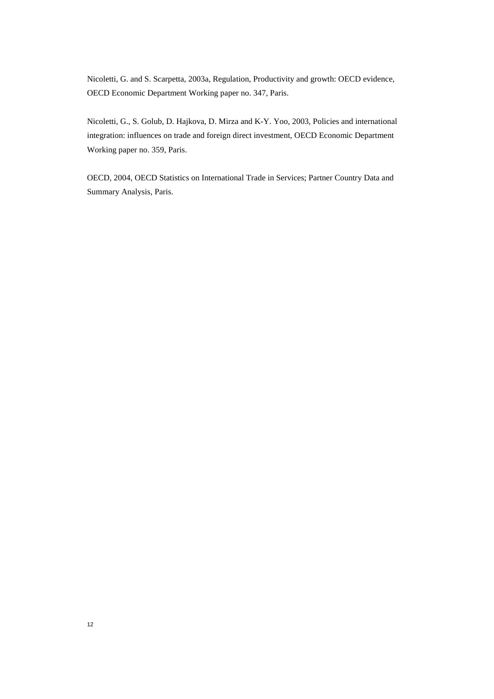Nicoletti, G. and S. Scarpetta, 2003a, Regulation, Productivity and growth: OECD evidence, OECD Economic Department Working paper no. 347, Paris.

Nicoletti, G., S. Golub, D. Hajkova, D. Mirza and K-Y. Yoo, 2003, Policies and international integration: influences on trade and foreign direct investment, OECD Economic Department Working paper no. 359, Paris.

OECD, 2004, OECD Statistics on International Trade in Services; Partner Country Data and Summary Analysis, Paris.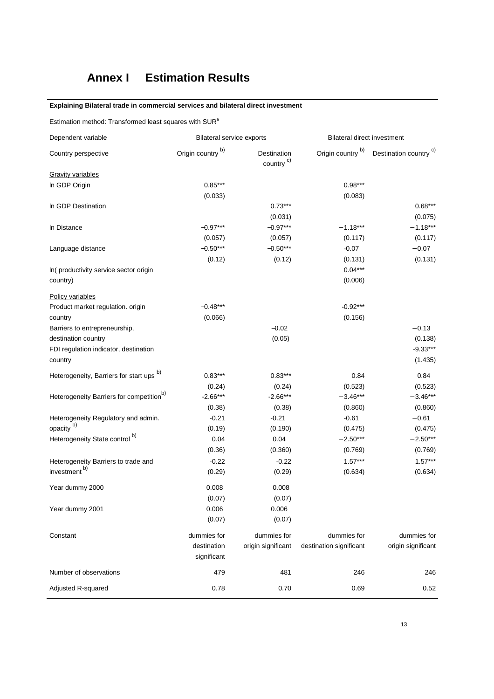# **Annex I Estimation Results**

#### **Explaining Bilateral trade in commercial services and bilateral direct investment**

Estimation method: Transformed least squares with  $\textsf{SUR}^{\textsf{a}}$ 

| Dependent variable                                   | <b>Bilateral service exports</b> |                                      |                         | <b>Bilateral direct investment</b> |  |
|------------------------------------------------------|----------------------------------|--------------------------------------|-------------------------|------------------------------------|--|
| Country perspective                                  | Origin country b)                | Destination<br>country <sup>c)</sup> | Origin country b)       | Destination country <sup>c)</sup>  |  |
| <b>Gravity variables</b>                             |                                  |                                      |                         |                                    |  |
| In GDP Origin                                        | $0.85***$                        |                                      | $0.98***$               |                                    |  |
|                                                      | (0.033)                          |                                      | (0.083)                 |                                    |  |
| In GDP Destination                                   |                                  | $0.73***$                            |                         | $0.68***$                          |  |
|                                                      |                                  | (0.031)                              |                         | (0.075)                            |  |
| In Distance                                          | $-0.97***$                       | $-0.97***$                           | $-1.18***$              | $-1.18***$                         |  |
|                                                      | (0.057)                          | (0.057)                              | (0.117)                 | (0.117)                            |  |
| Language distance                                    | $-0.50***$                       | $-0.50***$                           | $-0.07$                 | $-0.07$                            |  |
|                                                      | (0.12)                           | (0.12)                               | (0.131)                 | (0.131)                            |  |
| In(productivity service sector origin                |                                  |                                      | $0.04***$               |                                    |  |
| country)                                             |                                  |                                      | (0.006)                 |                                    |  |
| Policy variables                                     |                                  |                                      |                         |                                    |  |
| Product market regulation. origin                    | $-0.48***$                       |                                      | $-0.92***$              |                                    |  |
| country                                              | (0.066)                          |                                      | (0.156)                 |                                    |  |
| Barriers to entrepreneurship,                        |                                  | $-0.02$                              |                         | $-0.13$                            |  |
| destination country                                  |                                  | (0.05)                               |                         | (0.138)                            |  |
| FDI regulation indicator, destination                |                                  |                                      |                         | $-9.33***$                         |  |
| country                                              |                                  |                                      |                         | (1.435)                            |  |
| Heterogeneity, Barriers for start ups <sup>b)</sup>  | $0.83***$                        | $0.83***$                            | 0.84                    | 0.84                               |  |
|                                                      | (0.24)                           | (0.24)                               | (0.523)                 | (0.523)                            |  |
| Heterogeneity Barriers for competition <sup>b)</sup> | $-2.66***$                       | $-2.66***$                           | $-3.46***$              | $-3.46***$                         |  |
|                                                      | (0.38)                           | (0.38)                               | (0.860)                 | (0.860)                            |  |
| Heterogeneity Regulatory and admin.                  | $-0.21$                          | $-0.21$                              | $-0.61$                 | $-0.61$                            |  |
| opacity <sup>b)</sup>                                | (0.19)                           | (0.190)                              | (0.475)                 | (0.475)                            |  |
| Heterogeneity State control <sup>b)</sup>            | 0.04                             | 0.04                                 | $-2.50***$              | $-2.50***$                         |  |
|                                                      | (0.36)                           | (0.360)                              | (0.769)                 | (0.769)                            |  |
| Heterogeneity Barriers to trade and                  | $-0.22$                          | $-0.22$                              | $1.57***$               | $1.57***$                          |  |
| investment <sup>b)</sup>                             | (0.29)                           | (0.29)                               | (0.634)                 | (0.634)                            |  |
| Year dummy 2000                                      | 0.008                            | 0.008                                |                         |                                    |  |
|                                                      | (0.07)                           | (0.07)                               |                         |                                    |  |
| Year dummy 2001                                      | 0.006                            | 0.006                                |                         |                                    |  |
|                                                      | (0.07)                           | (0.07)                               |                         |                                    |  |
| Constant                                             | dummies for                      | dummies for                          | dummies for             | dummies for                        |  |
|                                                      | destination                      | origin significant                   | destination significant | origin significant                 |  |
|                                                      | significant                      |                                      |                         |                                    |  |
| Number of observations                               | 479                              | 481                                  | 246                     | 246                                |  |
| Adjusted R-squared                                   | 0.78                             | 0.70                                 | 0.69                    | 0.52                               |  |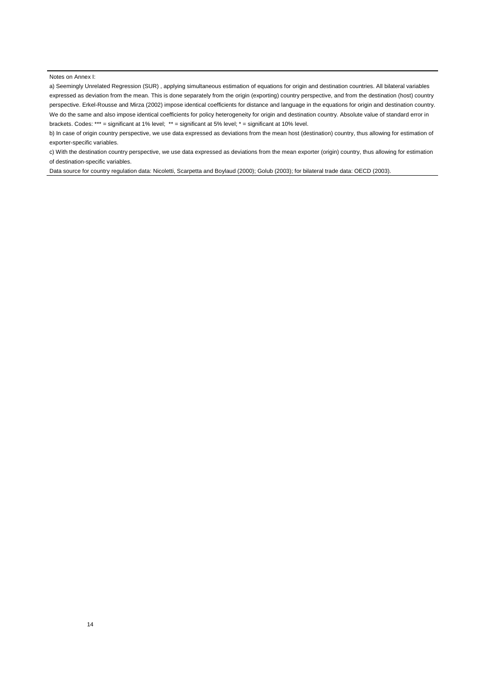Notes on Annex I:

a) Seemingly Unrelated Regression (SUR) , applying simultaneous estimation of equations for origin and destination countries. All bilateral variables expressed as deviation from the mean. This is done separately from the origin (exporting) country perspective, and from the destination (host) country perspective. Erkel-Rousse and Mirza (2002) impose identical coefficients for distance and language in the equations for origin and destination country. We do the same and also impose identical coefficients for policy heterogeneity for origin and destination country. Absolute value of standard error in brackets. Codes: \*\*\* = significant at 1% level; \*\* = significant at 5% level; \* = significant at 10% level.

b) In case of origin country perspective, we use data expressed as deviations from the mean host (destination) country, thus allowing for estimation of exporter-specific variables.

c) With the destination country perspective, we use data expressed as deviations from the mean exporter (origin) country, thus allowing for estimation of destination-specific variables.

Data source for country regulation data: Nicoletti, Scarpetta and Boylaud (2000); Golub (2003); for bilateral trade data: OECD (2003).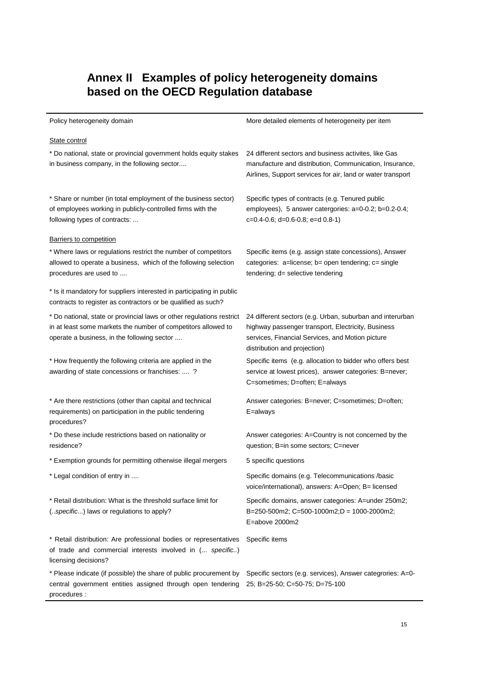## **Annex II Examples of policy heterogeneity domains based on the OECD Regulation database**

Policy heterogeneity domain **More in the COV** More detailed elements of heterogeneity per item

#### State control \* Do national, state or provincial government holds equity stakes in business company, in the following sector.... 24 different sectors and business activites, like Gas manufacture and distribution, Communication, Insurance, Airlines, Support services for air, land or water transport \* Share or number (in total employment of the business sector) of employees working in publicly-controlled firms with the following types of contracts: ... Specific types of contracts (e.g. Tenured public employees), 5 answer catergories: a=0-0.2; b=0.2-0.4; c=0.4-0.6; d=0.6-0.8; e=d 0.8-1) **Barriers to competition** \* Where laws or regulations restrict the number of competitors allowed to operate a business, which of the following selection procedures are used to .... Specific items (e.g. assign state concessions), Answer categories: a=license; b= open tendering; c= single tendering; d= selective tendering \* Is it mandatory for suppliers interested in participating in public contracts to register as contractors or be qualified as such? \* Do national, state or provincial laws or other regulations restrict in at least some markets the number of competitors allowed to operate a business, in the following sector .... 24 different sectors (e.g. Urban, suburban and interurban highway passenger transport, Electricity, Business services, Financial Services, and Motion picture distribution and projection) \* How frequently the following criteria are applied in the awarding of state concessions or franchises: .... ? Specific items (e.g. allocation to bidder who offers best service at lowest prices), answer categories: B=never; C=sometimes; D=often; E=always \* Are there restrictions (other than capital and technical requirements) on participation in the public tendering procedures? Answer categories: B=never; C=sometimes; D=often; E=always \* Do these include restrictions based on nationality or residence? Answer categories: A=Country is not concerned by the question; B=in some sectors; C=never \* Exemption grounds for permitting otherwise illegal mergers 5 specific questions \* Legal condition of entry in .... Specific domains (e.g. Telecommunications /basic voice/international), answers: A=Open; B= licensed \* Retail distribution: What is the threshold surface limit for (..specific...) laws or regulations to apply? Specific domains, answer categories: A=under 250m2; B=250-500m2; C=500-1000m2;D = 1000-2000m2; E=above 2000m2 \* Retail distribution: Are professional bodies or representatives of trade and commercial interests involved in (... specific..) licensing decisions? Specific items \* Please indicate (if possible) the share of public procurement by Specific sectors (e.g. services), Answer categrories: A=0 central government entities assigned through open tendering 25; B=25-50; C=50-75; D=75-100 procedures :